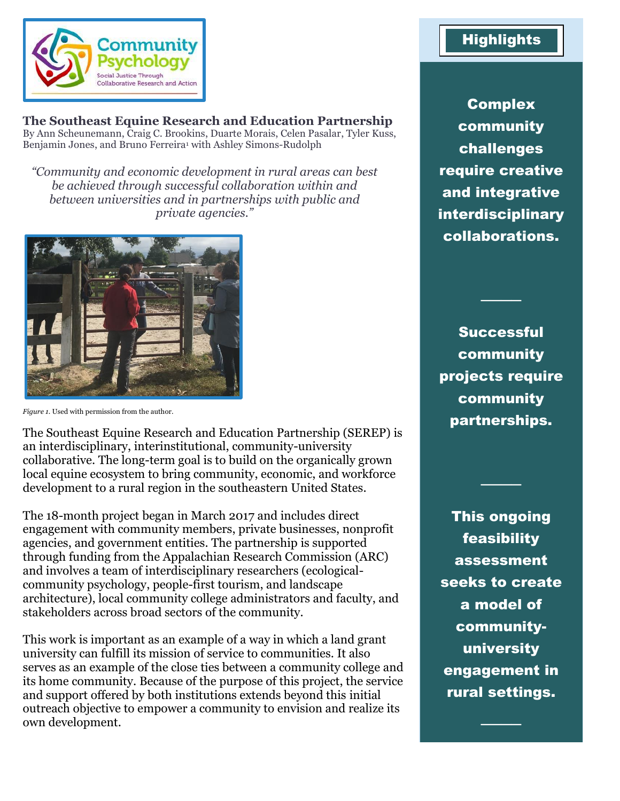

### **The Southeast Equine Research and Education Partnership**

By Ann Scheunemann, Craig C. Brookins, Duarte Morais, Celen Pasalar, Tyler Kuss, Benjamin Jones, and Bruno Ferreira<sup>1</sup> with Ashley Simons-Rudolph

*"Community and economic development in rural areas can best be achieved through successful collaboration within and between universities and in partnerships with public and private agencies."*



*Figure 1.* Used with permission from the author.

The Southeast Equine Research and Education Partnership (SEREP) is an interdisciplinary, interinstitutional, community-university collaborative. The long-term goal is to build on the organically grown local equine ecosystem to bring community, economic, and workforce development to a rural region in the southeastern United States.

The 18-month project began in March 2017 and includes direct engagement with community members, private businesses, nonprofit agencies, and government entities. The partnership is supported through funding from the Appalachian Research Commission (ARC) and involves a team of interdisciplinary researchers (ecologicalcommunity psychology, people-first tourism, and landscape architecture), local community college administrators and faculty, and stakeholders across broad sectors of the community.

This work is important as an example of a way in which a land grant university can fulfill its mission of service to communities. It also serves as an example of the close ties between a community college and its home community. Because of the purpose of this project, the service and support offered by both institutions extends beyond this initial outreach objective to empower a community to envision and realize its own development.

## **Highlights**

Complex community challenges require creative and integrative interdisciplinary collaborations.

Successful community projects require community partnerships.

────

────

This ongoing feasibility assessment seeks to create a model of communityuniversity engagement in rural settings.

────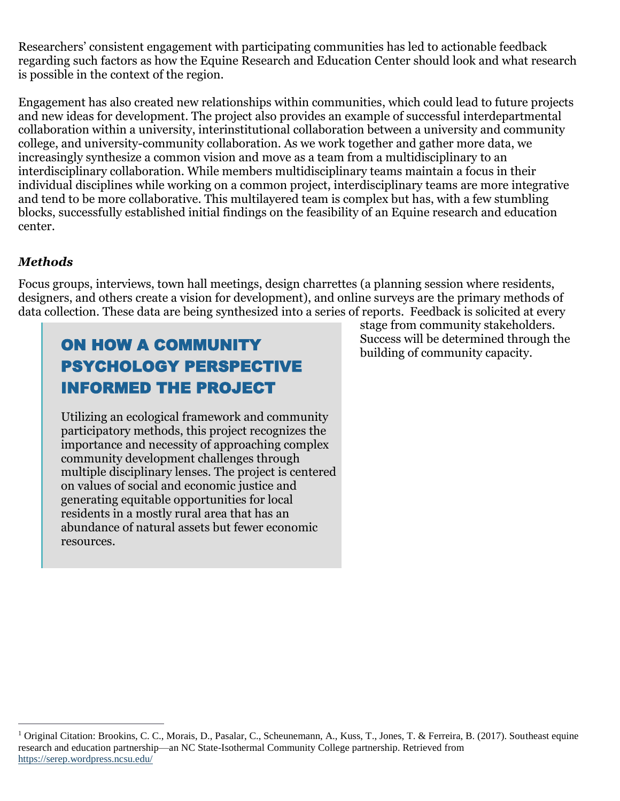Researchers' consistent engagement with participating communities has led to actionable feedback regarding such factors as how the Equine Research and Education Center should look and what research is possible in the context of the region.

Engagement has also created new relationships within communities, which could lead to future projects and new ideas for development. The project also provides an example of successful interdepartmental collaboration within a university, interinstitutional collaboration between a university and community college, and university-community collaboration. As we work together and gather more data, we increasingly synthesize a common vision and move as a team from a multidisciplinary to an interdisciplinary collaboration. While members multidisciplinary teams maintain a focus in their individual disciplines while working on a common project, interdisciplinary teams are more integrative and tend to be more collaborative. This multilayered team is complex but has, with a few stumbling blocks, successfully established initial findings on the feasibility of an Equine research and education center.

#### *Methods*

Focus groups, interviews, town hall meetings, design charrettes (a planning session where residents, designers, and others create a vision for development), and online surveys are the primary methods of data collection. These data are being synthesized into a series of reports. Feedback is solicited at every

# ON HOW A COMMUNITY PSYCHOLOGY PERSPECTIVE INFORMED THE PROJECT

Utilizing an ecological framework and community participatory methods, this project recognizes the importance and necessity of approaching complex community development challenges through multiple disciplinary lenses. The project is centered on values of social and economic justice and generating equitable opportunities for local residents in a mostly rural area that has an abundance of natural assets but fewer economic resources.

stage from community stakeholders. Success will be determined through the building of community capacity.

 $\overline{a}$ <sup>1</sup> Original Citation: Brookins, C. C., Morais, D., Pasalar, C., Scheunemann, A., Kuss, T., Jones, T. & Ferreira, B. (2017). Southeast equine research and education partnership—an NC State-Isothermal Community College partnership. Retrieved from <https://serep.wordpress.ncsu.edu/>